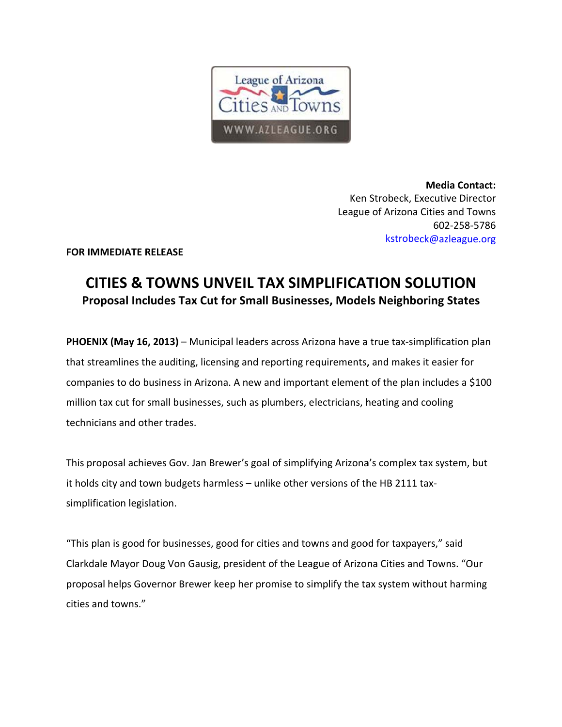

**Media Contact:** Ken Strobeck, Executive Director League of Arizona Cities and Towns 602-258-5786 kstrobeck@azleague.org

**FOR IMMEDIATE RELEASE** 

## CITIES & TOWNS UNVEIL TAX SIMPLIFICATION SOLUTION Proposal Includes Tax Cut for Small Businesses, Models Neighboring States

PHOENIX (May 16, 2013) - Municipal leaders across Arizona have a true tax-simplification plan that streamlines the auditing, licensing and reporting requirements, and makes it easier for companies to do business in Arizona. A new and important element of the plan includes a \$100 million tax cut for small businesses, such as plumbers, electricians, heating and cooling technicians and other trades.

This proposal achieves Gov. Jan Brewer's goal of simplifying Arizona's complex tax system, but it holds city and town budgets harmless - unlike other versions of the HB 2111 taxsimplification legislation.

"This plan is good for businesses, good for cities and towns and good for taxpayers," said Clarkdale Mayor Doug Von Gausig, president of the League of Arizona Cities and Towns. "Our proposal helps Governor Brewer keep her promise to simplify the tax system without harming cities and towns."